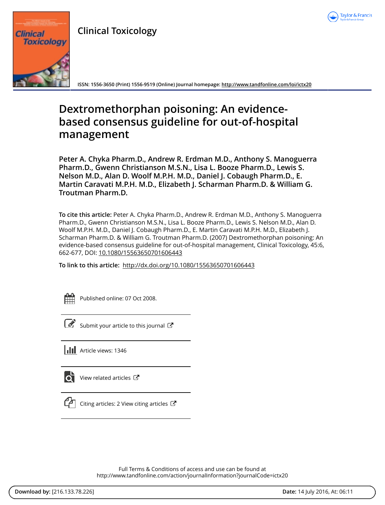

# **Clinical Toxicology**



**ISSN: 1556-3650 (Print) 1556-9519 (Online) Journal homepage:<http://www.tandfonline.com/loi/ictx20>**

# **Dextromethorphan poisoning: An evidencebased consensus guideline for out-of-hospital management**

**Peter A. Chyka Pharm.D., Andrew R. Erdman M.D., Anthony S. Manoguerra Pharm.D., Gwenn Christianson M.S.N., Lisa L. Booze Pharm.D., Lewis S. Nelson M.D., Alan D. Woolf M.P.H. M.D., Daniel J. Cobaugh Pharm.D., E. Martin Caravati M.P.H. M.D., Elizabeth J. Scharman Pharm.D. & William G. Troutman Pharm.D.**

**To cite this article:** Peter A. Chyka Pharm.D., Andrew R. Erdman M.D., Anthony S. Manoguerra Pharm.D., Gwenn Christianson M.S.N., Lisa L. Booze Pharm.D., Lewis S. Nelson M.D., Alan D. Woolf M.P.H. M.D., Daniel J. Cobaugh Pharm.D., E. Martin Caravati M.P.H. M.D., Elizabeth J. Scharman Pharm.D. & William G. Troutman Pharm.D. (2007) Dextromethorphan poisoning: An evidence-based consensus guideline for out-of-hospital management, Clinical Toxicology, 45:6, 662-677, DOI: [10.1080/15563650701606443](http://www.tandfonline.com/action/showCitFormats?doi=10.1080/15563650701606443)

**To link to this article:** <http://dx.doi.org/10.1080/15563650701606443>

Published online: 07 Oct 2008.

[Submit your article to this journal](http://www.tandfonline.com/action/authorSubmission?journalCode=ictx20&page=instructions)  $\mathbb{Z}$ 

**III** Article views: 1346

[View related articles](http://www.tandfonline.com/doi/mlt/10.1080/15563650701606443)  $\mathbb{Z}$ 



[Citing articles: 2 View citing articles](http://www.tandfonline.com/doi/citedby/10.1080/15563650701606443#tabModule)  $\mathbb{Z}$ 

Full Terms & Conditions of access and use can be found at <http://www.tandfonline.com/action/journalInformation?journalCode=ictx20>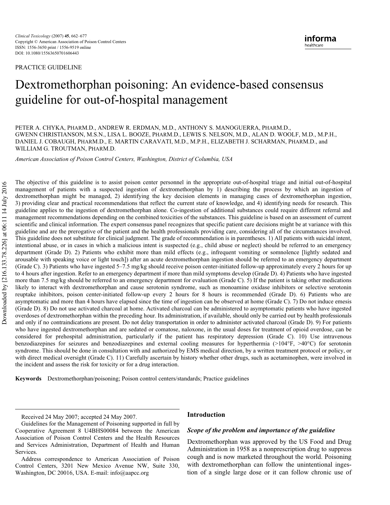PRACTICE GUIDELINE

# Dextromethorphan poisoning: An evidence-based consensus guideline for out-of-hospital management

PETER A. CHYKA, PHARM.D., ANDREW R. ERDMAN, M.D., ANTHONY S. MANOGUERRA, PHARM.D., GWENN CHRISTIANSON, M.S.N., LISA L. BOOZE, PHARM.D., LEWIS S. NELSON, M.D., ALAN D. WOOLF, M.D., M.P.H., DANIEL J. COBAUGH, PHARM.D., E. MARTIN CARAVATI, M.D., M.P.H., ELIZABETH J. SCHARMAN, PHARM.D., and WILLIAM G. TROUTMAN, PHARM.D.

*American Association of Poison Control Centers, Washington, District of Columbia, USA*

The objective of this guideline is to assist poison center personnel in the appropriate out-of-hospital triage and initial out-of-hospital management of patients with a suspected ingestion of dextromethorphan by 1) describing the process by which an ingestion of dextromethorphan might be managed, 2) identifying the key decision elements in managing cases of dextromethorphan ingestion, 3) providing clear and practical recommendations that reflect the current state of knowledge, and 4) identifying needs for research. This guideline applies to the ingestion of dextromethorphan alone. Co-ingestion of additional substances could require different referral and management recommendations depending on the combined toxicities of the substances. This guideline is based on an assessment of current scientific and clinical information. The expert consensus panel recognizes that specific patient care decisions might be at variance with this guideline and are the prerogative of the patient and the health professionals providing care, considering all of the circumstances involved. This guideline does not substitute for clinical judgment. The grade of recommendation is in parentheses. 1) All patients with suicidal intent, intentional abuse, or in cases in which a malicious intent is suspected (e.g., child abuse or neglect) should be referred to an emergency department (Grade D). 2) Patients who exhibit more than mild effects (e.g., infrequent vomiting or somnolence [lightly sedated and arousable with speaking voice or light touch]) after an acute dextromethorphan ingestion should be referred to an emergency department (Grade C). 3) Patients who have ingested 5–7.5 mg/kg should receive poison center-initiated follow-up approximately every 2 hours for up to 4 hours after ingestion. Refer to an emergency department if more than mild symptoms develop (Grade D). 4) Patients who have ingested more than 7.5 mg/kg should be referred to an emergency department for evaluation (Grade C). 5) If the patient is taking other medications likely to interact with dextromethorphan and cause serotonin syndrome, such as monoamine oxidase inhibitors or selective serotonin reuptake inhibitors, poison center-initiated follow-up every 2 hours for 8 hours is recommended (Grade D). 6) Patients who are asymptomatic and more than 4 hours have elapsed since the time of ingestion can be observed at home (Grade C). 7) Do not induce emesis (Grade D). 8) Do not use activated charcoal at home. Activated charcoal can be administered to asymptomatic patients who have ingested overdoses of dextromethorphan within the preceding hour. Its administration, if available, should only be carried out by health professionals and only if no contraindications are present. Do not delay transportation in order to administer activated charcoal (Grade D). 9) For patients who have ingested dextromethorphan and are sedated or comatose, naloxone, in the usual doses for treatment of opioid overdose, can be considered for prehospital administration, particularly if the patient has respiratory depression (Grade C). 10) Use intravenous benzodiazepines for seizures and benzodiazepines and external cooling measures for hyperthermia (>104°F, >40°C) for serotonin syndrome. This should be done in consultation with and authorized by EMS medical direction, by a written treatment protocol or policy, or with direct medical oversight (Grade C). 11) Carefully ascertain by history whether other drugs, such as acetaminophen, were involved in the incident and assess the risk for toxicity or for a drug interaction.

**Keywords** Dextromethorphan/poisoning; Poison control centers/standards; Practice guidelines

# **Introduction**

#### *Scope of the problem and importance of the guideline*

Dextromethorphan was approved by the US Food and Drug Administration in 1958 as a nonprescription drug to suppress cough and is now marketed throughout the world. Poisoning with dextromethorphan can follow the unintentional ingestion of a single large dose or it can follow chronic use of

Received 24 May 2007; accepted 24 May 2007.

Guidelines for the Management of Poisoning supported in full by Cooperative Agreement 8 U4BHS00084 between the American Association of Poison Control Centers and the Health Resources and Services Administration, Department of Health and Human Services.

Address correspondence to American Association of Poison Control Centers, 3201 New Mexico Avenue NW, Suite 330, Washington, DC 20016, USA. E-mail: info@aapcc.org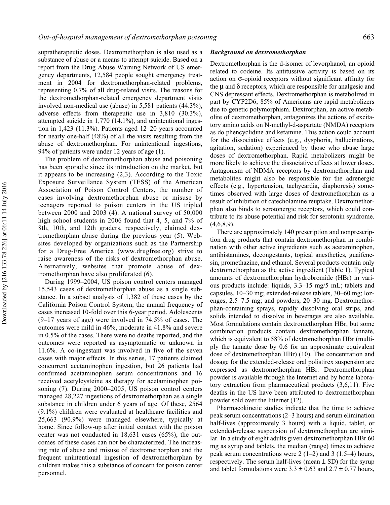supratherapeutic doses. Dextromethorphan is also used as a substance of abuse or a means to attempt suicide. Based on a report from the Drug Abuse Warning Network of US emergency departments, 12,584 people sought emergency treatment in 2004 for dextromethorphan-related problems, representing 0.7% of all drug-related visits. The reasons for the dextromethorphan-related emergency department visits involved non-medical use (abuse) in 5,581 patients (44.3%), adverse effects from therapeutic use in 3,810 (30.3%), attempted suicide in 1,770 (14.1%), and unintentional ingestion in 1,423 (11.3%). Patients aged 12–20 years accounted for nearly one-half (48%) of all the visits resulting from the abuse of dextromethorphan. For unintentional ingestions, 94% of patients were under 12 years of age (1).

The problem of dextromethorphan abuse and poisoning has been sporadic since its introduction on the market, but it appears to be increasing (2,3). According to the Toxic Exposure Surveillance System (TESS) of the American Association of Poison Control Centers, the number of cases involving dextromethorphan abuse or misuse by teenagers reported to poison centers in the US tripled between 2000 and 2003 (4). A national survey of 50,000 high school students in 2006 found that 4, 5, and 7% of 8th, 10th, and 12th graders, respectively, claimed dextromethorphan abuse during the previous year (5). Websites developed by organizations such as the Partnership for a Drug-Free America (www.drugfree.org) strive to raise awareness of the risks of dextromethorphan abuse. Alternatively, websites that promote abuse of dextromethorphan have also proliferated (6).

During 1999–2004, US poison control centers managed 15,543 cases of dextromethorphan abuse as a single substance. In a subset analysis of 1,382 of these cases by the California Poison Control System, the annual frequency of cases increased 10-fold over this 6-year period. Adolescents (9–17 years of age) were involved in 74.5% of cases. The outcomes were mild in 46%, moderate in 41.8% and severe in 0.5% of the cases. There were no deaths reported, and the outcomes were reported as asymptomatic or unknown in 11.6%. A co-ingestant was involved in five of the seven cases with major effects. In this series, 17 patients claimed concurrent acetaminophen ingestion, but 26 patients had confirmed acetaminophen serum concentrations and 16 received acetylcysteine as therapy for acetaminophen poisoning (7). During 2000–2005, US poison control centers managed 28,227 ingestions of dextromethorphan as a single substance in children under 6 years of age. Of these, 2564 (9.1%) children were evaluated at healthcare facilities and 25,663 (90.9%) were managed elsewhere, typically at home. Since follow-up after initial contact with the poison center was not conducted in 18,631 cases (65%), the outcomes of these cases can not be characterized. The increasing rate of abuse and misuse of dextromethorphan and the frequent unintentional ingestion of dextromethorphan by children makes this a substance of concern for poison center personnel.

# *Background on dextromethorphan*

Dextromethorphan is the d-isomer of levorphanol, an opioid related to codeine. Its antitussive activity is based on its action on σ-opioid receptors without significant affinity for the  $\mu$  and  $\delta$  receptors, which are responsible for analgesic and CNS depressant effects. Dextromethorphan is metabolized in part by CYP2D6; 85% of Americans are rapid metabolizers due to genetic polymorphism. Dextrorphan, an active metabolite of dextromethorphan, antagonizes the actions of excitatory amino acids on N*-*methyl-d-aspartate (NMDA) receptors as do phencyclidine and ketamine. This action could account for the dissociative effects (e.g., dysphoria, hallucinations, agitation, sedation) experienced by those who abuse large doses of dextromethorphan. Rapid metabolizers might be more likely to achieve the dissociative effects at lower doses. Antagonism of NDMA receptors by dextromethorphan and metabolites might also be responsible for the adrenergic effects (e.g., hypertension, tachycardia, diaphoresis) sometimes observed with large doses of dextromethorphan as a result of inhibition of catecholamine reuptake. Dextromethorphan also binds to serotonergic receptors, which could contribute to its abuse potential and risk for serotonin syndrome.  $(4,6,8,9)$ .

There are approximately 140 prescription and nonprescription drug products that contain dextromethorphan in combination with other active ingredients such as acetaminophen, antihistamines, decongestants, topical anesthetics, guaifenesin, promethazine, and ethanol. Several products contain only dextromethorphan as the active ingredient (Table 1). Typical amounts of dextromethorphan hydrobromide (HBr) in various products include: liquids, 3.3–15 mg/5 mL; tablets and capsules, 10–30 mg; extended-release tablets, 30–60 mg; lozenges, 2.5–7.5 mg; and powders, 20–30 mg. Dextromethorphan-containing sprays, rapidly dissolving oral strips, and solids intended to dissolve in beverages are also available. Most formulations contain dextromethorphan HBr, but some combination products contain dextromethorphan tannate, which is equivalent to 58% of dextromethorphan HBr (multiply the tannate dose by 0.6 for an approximate equivalent dose of dextromethorphan HBr) (10). The concentration and dosage for the extended-release oral polistirex suspension are expressed as dextromethorphan HBr. Dextromethorphan powder is available through the Internet and by home laboratory extraction from pharmaceutical products (3,6,11). Five deaths in the US have been attributed to dextromethorphan powder sold over the Internet (12).

Pharmacokinetic studies indicate that the time to achieve peak serum concentrations (2–3 hours) and serum elimination half-lives (approximately 3 hours) with a liquid, tablet, or extended-release suspension of dextromethorphan are similar. In a study of eight adults given dextromethorphan HBr 60 mg as syrup and tablets, the median (range) times to achieve peak serum concentrations were  $2(1-2)$  and  $3(1.5-4)$  hours, respectively. The serum half-lives (mean  $\pm$  SD) for the syrup and tablet formulations were  $3.3 \pm 0.63$  and  $2.7 \pm 0.77$  hours,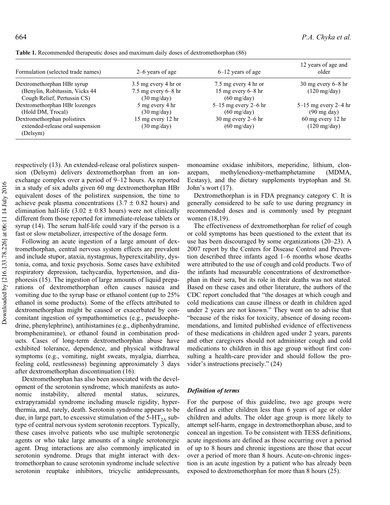| <b>Table 1.</b> Recommended therapeutic doses and maximum daily doses of dextromethorphan (86) |  |  |
|------------------------------------------------------------------------------------------------|--|--|
|                                                                                                |  |  |

| Formulation (selected trade names)                                          | $2-6$ years of age                             | $6-12$ years of age                             | 12 years of age and<br>older                    |
|-----------------------------------------------------------------------------|------------------------------------------------|-------------------------------------------------|-------------------------------------------------|
| Dextromethorphan HBr syrup                                                  | 3.5 mg every 4 hr or                           | 7.5 mg every 4 hr or                            | $30 \text{ mg}$ every 6–8 hr                    |
| (Benylin, Robitussin, Vicks 44<br>Cough Relief, Pertussin CS)               | 7.5 mg every $6-8$ hr<br>$(30 \text{ mg/day})$ | 15 mg every $6-8$ hr<br>$(60 \text{ mg/day})$   | $(120 \text{ mg/day})$                          |
| Dextromethorphan HBr lozenges<br>(Hold DM, Trocal)                          | 5 mg every 4 hr<br>$(30 \text{ mg/day})$       | $5-15$ mg every 2-6 hr<br>$(60 \text{ mg/day})$ | $5-15$ mg every 2-4 hr<br>$(90 \text{ mg day})$ |
| Dextromethorphan polistirex<br>extended-release oral suspension<br>(Delsym) | 15 mg every 12 hr<br>$(30 \text{ mg/day})$     | $30$ mg every $2-6$ hr<br>$(60 \text{ mg/day})$ | 60 mg every 12 hr<br>$(120 \text{ mg/day})$     |

respectively (13). An extended-release oral polistirex suspension (Delsym) delivers dextromethorphan from an ionexchange complex over a period of 9–12 hours. As reported in a study of six adults given 60 mg dextromethorphan HBr equivalent doses of the polistirex suspension, the time to achieve peak plasma concentrations  $(3.7 \pm 0.82$  hours) and elimination half-life  $(3.02 \pm 0.83$  hours) were not clinically different from those reported for immediate-release tablets or syrup (14). The serum half-life could vary if the person is a fast or slow metabolizer, irrespective of the dosage form.

Following an acute ingestion of a large amount of dextromethorphan, central nervous system effects are prevalent and include stupor, ataxia, nystagmus, hyperexcitability, dystonia, coma, and toxic psychosis. Some cases have exhibited respiratory depression, tachycardia, hypertension, and diaphoresis (15). The ingestion of large amounts of liquid preparations of dextromethorphan often causes nausea and vomiting due to the syrup base or ethanol content (up to 25% ethanol in some products). Some of the effects attributed to dextromethorphan might be caused or exacerbated by concomitant ingestion of sympathomimetics (e.g., pseudoephedrine, phenylephrine), antihistamines (e.g., diphenhydramine, brompheniramine), or ethanol found in combination products. Cases of long-term dextromethorphan abuse have exhibited tolerance, dependence, and physical withdrawal symptoms (e.g., vomiting, night sweats, myalgia, diarrhea, feeling cold, restlessness) beginning approximately 3 days after dextromethorphan discontinuation (16).

Dextromethorphan has also been associated with the development of the serotonin syndrome, which manifests as autonomic instability, altered mental status, seizures, extrapyramidal syndrome including muscle rigidity, hyperthermia, and, rarely, death. Serotonin syndrome appears to be due, in large part, to excessive stimulation of the  $5-HT<sub>2A</sub>$  subtype of central nervous system serotonin receptors. Typically, these cases involve patients who use multiple serotonergic agents or who take large amounts of a single serotonergic agent. Drug interactions are also commonly implicated in serotonin syndrome. Drugs that might interact with dextromethorphan to cause serotonin syndrome include selective serotonin reuptake inhibitors, tricyclic antidepressants,

monoamine oxidase inhibitors, meperidine, lithium, clonazepam, methylenedioxy-methamphetamine (MDMA, Ecstasy), and the dietary supplements tryptophan and St. John's wort (17).

Dextromethorphan is in FDA pregnancy category C. It is generally considered to be safe to use during pregnancy in recommended doses and is commonly used by pregnant women (18,19).

The effectiveness of dextromethorphan for relief of cough or cold symptoms has been questioned to the extent that its use has been discouraged by some organizations (20–23). A 2007 report by the Centers for Disease Control and Prevention described three infants aged 1–6 months whose deaths were attributed to the use of cough and cold products. Two of the infants had measurable concentrations of dextromethorphan in their sera, but its role in their deaths was not stated. Based on these cases and other literature, the authors of the CDC report concluded that "the dosages at which cough and cold medications can cause illness or death in children aged under 2 years are not known." They went on to advise that "because of the risks for toxicity, absence of dosing recommendations, and limited published evidence of effectiveness of these medications in children aged under 2 years, parents and other caregivers should not administer cough and cold medications to children in this age group without first consulting a health-care provider and should follow the provider's instructions precisely." (24)

# *Definition of terms*

For the purpose of this guideline, two age groups were defined as either children less than 6 years of age or older children and adults. The older age group is more likely to attempt self-harm, engage in dextromethorphan abuse, and to conceal an ingestion. To be consistent with TESS definitions, acute ingestions are defined as those occurring over a period of up to 8 hours and chronic ingestions are those that occur over a period of more than 8 hours. Acute-on-chronic ingestion is an acute ingestion by a patient who has already been exposed to dextromethorphan for more than 8 hours (25).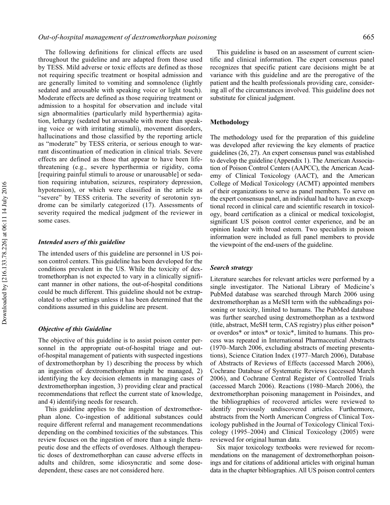The following definitions for clinical effects are used throughout the guideline and are adapted from those used by TESS. Mild adverse or toxic effects are defined as those not requiring specific treatment or hospital admission and are generally limited to vomiting and somnolence (lightly sedated and arousable with speaking voice or light touch). Moderate effects are defined as those requiring treatment or admission to a hospital for observation and include vital sign abnormalities (particularly mild hyperthermia) agitation, lethargy (sedated but arousable with more than speaking voice or with irritating stimuli), movement disorders, hallucinations and those classified by the reporting article as "moderate" by TESS criteria, or serious enough to warrant discontinuation of medication in clinical trials. Severe effects are defined as those that appear to have been lifethreatening (e.g., severe hyperthermia or rigidity, coma [requiring painful stimuli to arouse or unarousable] or sedation requiring intubation, seizures, respiratory depression, hypotension), or which were classified in the article as "severe" by TESS criteria. The severity of serotonin syndrome can be similarly categorized (17). Assessments of severity required the medical judgment of the reviewer in some cases.

### *Intended users of this guideline*

The intended users of this guideline are personnel in US poison control centers. This guideline has been developed for the conditions prevalent in the US. While the toxicity of dextromethorphan is not expected to vary in a clinically significant manner in other nations, the out-of-hospital conditions could be much different. This guideline should not be extrapolated to other settings unless it has been determined that the conditions assumed in this guideline are present.

### *Objective of this Guideline*

The objective of this guideline is to assist poison center personnel in the appropriate out-of-hospital triage and outof-hospital management of patients with suspected ingestions of dextromethorphan by 1) describing the process by which an ingestion of dextromethorphan might be managed, 2) identifying the key decision elements in managing cases of dextromethorphan ingestion, 3) providing clear and practical recommendations that reflect the current state of knowledge, and 4) identifying needs for research.

This guideline applies to the ingestion of dextromethorphan alone. Co-ingestion of additional substances could require different referral and management recommendations depending on the combined toxicities of the substances. This review focuses on the ingestion of more than a single therapeutic dose and the effects of overdoses. Although therapeutic doses of dextromethorphan can cause adverse effects in adults and children, some idiosyncratic and some dosedependent, these cases are not considered here.

This guideline is based on an assessment of current scientific and clinical information. The expert consensus panel recognizes that specific patient care decisions might be at variance with this guideline and are the prerogative of the patient and the health professionals providing care, considering all of the circumstances involved. This guideline does not substitute for clinical judgment.

# **Methodology**

The methodology used for the preparation of this guideline was developed after reviewing the key elements of practice guidelines (26, 27). An expert consensus panel was established to develop the guideline (Appendix 1). The American Association of Poison Control Centers (AAPCC), the American Academy of Clinical Toxicology (AACT), and the American College of Medical Toxicology (ACMT) appointed members of their organizations to serve as panel members. To serve on the expert consensus panel, an individual had to have an exceptional record in clinical care and scientific research in toxicology, board certification as a clinical or medical toxicologist, significant US poison control center experience, and be an opinion leader with broad esteem. Two specialists in poison information were included as full panel members to provide the viewpoint of the end-users of the guideline.

#### *Search strategy*

Literature searches for relevant articles were performed by a single investigator. The National Library of Medicine's PubMed database was searched through March 2006 using dextromethorphan as a MeSH term with the subheadings poisoning or toxicity, limited to humans. The PubMed database was further searched using dextromethorphan as a textword (title, abstract, MeSH term, CAS registry) plus either poison\* or overdos\* or intox\* or toxic\*, limited to humans. This process was repeated in International Pharmaceutical Abstracts (1970–March 2006, excluding abstracts of meeting presentations), Science Citation Index (1977–March 2006), Database of Abstracts of Reviews of Effects (accessed March 2006), Cochrane Database of Systematic Reviews (accessed March 2006), and Cochrane Central Register of Controlled Trials (accessed March 2006). Reactions (1980–March 2006), the dextromethorphan poisoning management in Poisindex, and the bibliographies of recovered articles were reviewed to identify previously undiscovered articles. Furthermore, abstracts from the North American Congress of Clinical Toxicology published in the Journal of Toxicology Clinical Toxicology (1995–2004) and Clinical Toxicology (2005) were reviewed for original human data.

Six major toxicology textbooks were reviewed for recommendations on the management of dextromethorphan poisonings and for citations of additional articles with original human data in the chapter bibliographies. All US poison control centers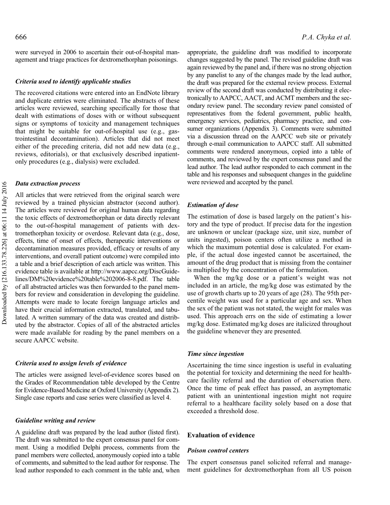were surveyed in 2006 to ascertain their out-of-hospital management and triage practices for dextromethorphan poisonings.

#### *Criteria used to identify applicable studies*

The recovered citations were entered into an EndNote library and duplicate entries were eliminated. The abstracts of these articles were reviewed, searching specifically for those that dealt with estimations of doses with or without subsequent signs or symptoms of toxicity and management techniques that might be suitable for out-of-hospital use (e.g., gastrointestinal decontamination). Articles that did not meet either of the preceding criteria, did not add new data (e.g., reviews, editorials), or that exclusively described inpatientonly procedures (e.g., dialysis) were excluded.

# *Data extraction process*

All articles that were retrieved from the original search were reviewed by a trained physician abstractor (second author). The articles were reviewed for original human data regarding the toxic effects of dextromethorphan or data directly relevant to the out-of-hospital management of patients with dextromethorphan toxicity or overdose. Relevant data (e.g., dose, effects, time of onset of effects, therapeutic interventions or decontamination measures provided, efficacy or results of any interventions, and overall patient outcome) were compiled into a table and a brief description of each article was written. This evidence table is available at http://www.aapcc.org/DiscGuidelines/DM%20evidence%20table%202006-8-8.pdf. The table of all abstracted articles was then forwarded to the panel members for review and consideration in developing the guideline. Attempts were made to locate foreign language articles and have their crucial information extracted, translated, and tabulated. A written summary of the data was created and distributed by the abstractor. Copies of all of the abstracted articles were made available for reading by the panel members on a secure AAPCC website.

#### *Criteria used to assign levels of evidence*

The articles were assigned level-of-evidence scores based on the Grades of Recommendation table developed by the Centre for Evidence-Based Medicine at Oxford University (Appendix 2). Single case reports and case series were classified as level 4.

#### *Guideline writing and review*

A guideline draft was prepared by the lead author (listed first). The draft was submitted to the expert consensus panel for comment. Using a modified Delphi process, comments from the panel members were collected, anonymously copied into a table of comments, and submitted to the lead author for response. The lead author responded to each comment in the table and, when

appropriate, the guideline draft was modified to incorporate changes suggested by the panel. The revised guideline draft was again reviewed by the panel and, if there was no strong objection by any panelist to any of the changes made by the lead author, the draft was prepared for the external review process. External review of the second draft was conducted by distributing it electronically to AAPCC, AACT, and ACMT members and the secondary review panel. The secondary review panel consisted of representatives from the federal government, public health, emergency services, pediatrics, pharmacy practice, and consumer organizations (Appendix 3). Comments were submitted via a discussion thread on the AAPCC web site or privately through e-mail communication to AAPCC staff. All submitted comments were rendered anonymous, copied into a table of comments, and reviewed by the expert consensus panel and the lead author. The lead author responded to each comment in the table and his responses and subsequent changes in the guideline were reviewed and accepted by the panel.

# *Estimation of dose*

The estimation of dose is based largely on the patient's history and the type of product. If precise data for the ingestion are unknown or unclear (package size, unit size, number of units ingested), poison centers often utilize a method in which the maximum potential dose is calculated. For example, if the actual dose ingested cannot be ascertained, the amount of the drug product that is missing from the container is multiplied by the concentration of the formulation.

When the mg/kg dose or a patient's weight was not included in an article, the mg/kg dose was estimated by the use of growth charts up to 20 years of age (28). The 95th percentile weight was used for a particular age and sex. When the sex of the patient was not stated, the weight for males was used. This approach errs on the side of estimating a lower mg/kg dose. Estimated mg/kg doses are italicized throughout the guideline whenever they are presented.

#### *Time since ingestion*

Ascertaining the time since ingestion is useful in evaluating the potential for toxicity and determining the need for healthcare facility referral and the duration of observation there. Once the time of peak effect has passed, an asymptomatic patient with an unintentional ingestion might not require referral to a healthcare facility solely based on a dose that exceeded a threshold dose.

# **Evaluation of evidence**

# *Poison control centers*

The expert consensus panel solicited referral and management guidelines for dextromethorphan from all US poison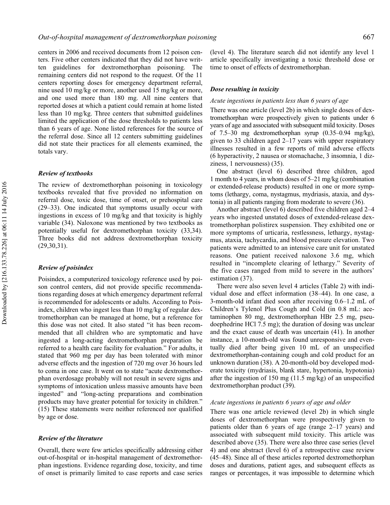centers in 2006 and received documents from 12 poison centers. Five other centers indicated that they did not have written guidelines for dextromethorphan poisoning. The remaining centers did not respond to the request. Of the 11 centers reporting doses for emergency department referral, nine used 10 mg/kg or more, another used 15 mg/kg or more, and one used more than 180 mg. All nine centers that reported doses at which a patient could remain at home listed less than 10 mg/kg. Three centers that submitted guidelines limited the application of the dose thresholds to patients less than 6 years of age. None listed references for the source of the referral dose. Since all 12 centers submitting guidelines did not state their practices for all elements examined, the totals vary.

# *Review of textbooks*

The review of dextromethorphan poisoning in toxicology textbooks revealed that five provided no information on referral dose, toxic dose, time of onset, or prehospital care (29–33). One indicated that symptoms usually occur with ingestions in excess of 10 mg/kg and that toxicity is highly variable (34). Naloxone was mentioned by two textbooks as potentially useful for dextromethorphan toxicity (33,34). Three books did not address dextromethorphan toxicity (29,30,31).

# *Review of poisindex*

Poisindex, a computerized toxicology reference used by poison control centers, did not provide specific recommendations regarding doses at which emergency department referral is recommended for adolescents or adults. According to Poisindex, children who ingest less than 10 mg/kg of regular dextromethorphan can be managed at home, but a reference for this dose was not cited. It also stated "it has been recommended that all children who are symptomatic and have ingested a long-acting dextromethorphan preparation be referred to a health care facility for evaluation." For adults, it stated that 960 mg per day has been tolerated with minor adverse effects and the ingestion of 720 mg over 36 hours led to coma in one case. It went on to state "acute dextromethorphan overdosage probably will not result in severe signs and symptoms of intoxication unless massive amounts have been ingested" and "long-acting preparations and combination products may have greater potential for toxicity in children." (15) These statements were neither referenced nor qualified by age or dose.

#### *Review of the literature*

Overall, there were few articles specifically addressing either out-of-hospital or in-hospital management of dextromethorphan ingestions. Evidence regarding dose, toxicity, and time of onset is primarily limited to case reports and case series (level 4). The literature search did not identify any level 1 article specifically investigating a toxic threshold dose or time to onset of effects of dextromethorphan.

#### *Dose resulting in toxicity*

#### *Acute ingestions in patients less than 6 years of age*

There was one article (level 2b) in which single doses of dextromethorphan were prospectively given to patients under 6 years of age and associated with subsequent mild toxicity. Doses of 7.5–30 mg dextromethorphan syrup (0.35–0.94 mg/kg), given to 33 children aged 2–17 years with upper respiratory illnesses resulted in a few reports of mild adverse effects (6 hyperactivity, 2 nausea or stomachache, 3 insomnia, 1 dizziness, 1 nervousness) (35).

One abstract (level 6) described three children, aged 1 month to 4 years, in whom doses of 5–21 mg/kg (combination or extended-release products) resulted in one or more symptoms (lethargy, coma, nystagmus, mydriasis, ataxia, and dystonia) in all patients ranging from moderate to severe (36).

Another abstract (level 6) described five children aged 2–4 years who ingested unstated doses of extended-release dextromethorphan polistirex suspension. They exhibited one or more symptoms of urticaria, restlessness, lethargy, nystagmus, ataxia, tachycardia, and blood pressure elevation. Two patients were admitted to an intensive care unit for unstated reasons. One patient received naloxone 3.6 mg, which resulted in "incomplete clearing of lethargy." Severity of the five cases ranged from mild to severe in the authors' estimation (37).

There were also seven level 4 articles (Table 2) with individual dose and effect information (38–44). In one case, a 3-month-old infant died soon after receiving 0.6–1.2 mL of Children's Tylenol Plus Cough and Cold (in 0.8 mL: acetaminophen 80 mg, dextromethorphan HBr 2.5 mg, pseudoephedrine HCl 7.5 mg); the duration of dosing was unclear and the exact cause of death was uncertain (41). In another instance, a 10-month-old was found unresponsive and eventually died after being given 10 mL of an unspecified dextromethorphan-containing cough and cold product for an unknown duration (38). A 20-month-old boy developed moderate toxicity (mydriasis, blank stare, hypertonia, hypotonia) after the ingestion of 150 mg (11.5 mg/kg) of an unspecified dextromethorphan product (39).

# *Acute ingestions in patients 6 years of age and older*

There was one article reviewed (level 2b) in which single doses of dextromethorphan were prospectively given to patients older than 6 years of age (range 2–17 years) and associated with subsequent mild toxicity. This article was described above (35). There were also three case series (level 4) and one abstract (level 6) of a retrospective case review (45–48). Since all of these articles reported dextromethorphan doses and durations, patient ages, and subsequent effects as ranges or percentages, it was impossible to determine which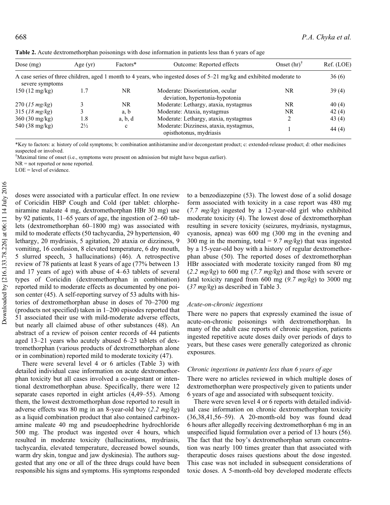**Table 2.** Acute dextromethorphan poisonings with dose information in patients less than 6 years of age

| Dose(mg)                 | Age $(yr)$     | Factors* | Outcome: Reported effects                                                                                            | Onset $(hr)$ <sup>T</sup> | Ref. (LOE) |
|--------------------------|----------------|----------|----------------------------------------------------------------------------------------------------------------------|---------------------------|------------|
| severe symptoms          |                |          | A case series of three children, aged 1 month to 4 years, who ingested doses of 5–21 mg/kg and exhibited moderate to |                           | 36(6)      |
| $150(12 \text{ mg/kg})$  |                | NR       | Moderate: Disorientation, ocular<br>deviation, hypertonia-hypotonia                                                  | NR                        | 39(4)      |
| $270 (15 \text{ mg/kg})$ |                | NR       | Moderate: Lethargy, ataxia, nystagmus                                                                                | NR                        | 40(4)      |
| 315 (18 mg/kg)           |                | a, b     | Moderate: Ataxia, nystagmus                                                                                          | NR.                       | 42(4)      |
| $360(30 \text{ mg/kg})$  | 1.8            | a, b, d  | Moderate: Lethargy, ataxia, nystagmus                                                                                |                           | 43 $(4)$   |
| 540 (38 mg/kg)           | $2\frac{1}{2}$ | c        | Moderate: Dizziness, ataxia, nystagmus,<br>opisthotonus, mydriasis                                                   |                           | 44(4)      |

\*Key to factors: a: history of cold symptoms; b: combination antihistamine and/or decongestant product; c: extended-release product; d: other medicines suspected or involved.

†Maximal time of onset (i.e., symptoms were present on admission but might have begun earlier).

NR = not reported or none reported.

LOE = level of evidence.

doses were associated with a particular effect. In one review of Coricidin HBP Cough and Cold (per tablet: chlorpheniramine maleate 4 mg, dextromethorphan HBr 30 mg) use by 92 patients, 11–65 years of age, the ingestion of 2–60 tablets (dextromethorphan 60–1800 mg) was associated with mild to moderate effects (50 tachycardia, 29 hypertension, 40 lethargy, 20 mydriasis, 5 agitation, 20 ataxia or dizziness, 9 vomiting, 16 confusion, 8 elevated temperature, 6 dry mouth, 5 slurred speech, 3 hallucinations) (46). A retrospective review of 78 patients at least 8 years of age (77% between 13 and 17 years of age) with abuse of 4–63 tablets of several types of Coricidin (dextromethorphan in combination) reported mild to moderate effects as documented by one poison center (45). A self-reporting survey of 53 adults with histories of dextromethorphan abuse in doses of 70–2700 mg (products not specified) taken in 1–200 episodes reported that 51 associated their use with mild-moderate adverse effects, but nearly all claimed abuse of other substances (48). An abstract of a review of poison center records of 44 patients aged 13–21 years who acutely abused 6–23 tablets of dextromethorphan (various products of dextromethorphan alone or in combination) reported mild to moderate toxicity (47).

There were several level 4 or 6 articles (Table 3) with detailed individual case information on acute dextromethorphan toxicity but all cases involved a co-ingestant or intentional dextromethorphan abuse. Specifically, there were 12 separate cases reported in eight articles (4,49–55). Among them, the lowest dextromethorphan dose reported to result in adverse effects was 80 mg in an 8-year-old boy (*2.2 mg/kg*) as a liquid combination product that also contained carbinoxamine maleate 40 mg and pseudoephedrine hydrochloride 500 mg. The product was ingested over 4 hours, which resulted in moderate toxicity (hallucinations, mydriasis, tachycardia, elevated temperature, decreased bowel sounds, warm dry skin, tongue and jaw dyskinesia). The authors suggested that any one or all of the three drugs could have been responsible his signs and symptoms. His symptoms responded

to a benzodiazepine (53). The lowest dose of a solid dosage form associated with toxicity in a case report was 480 mg (*7.7 mg/kg*) ingested by a 12-year-old girl who exhibited moderate toxicity (4). The lowest dose of dextromethorphan resulting in severe toxicity (seizures, mydriasis, nystagmus, cyanosis, apnea) was 600 mg (300 mg in the evening and 300 mg in the morning, total = *9.7 mg/kg*) that was ingested by a 15-year-old boy with a history of regular dextromethorphan abuse (50). The reported doses of dextromethorphan HBr associated with moderate toxicity ranged from 80 mg (*2.2 mg/kg*) to 600 mg (*7.7 mg/kg*) and those with severe or fatal toxicity ranged from 600 mg (*9.7 mg/kg*) to 3000 mg (*37 mg/kg*) as described in Table 3.

#### *Acute-on-chronic ingestions*

There were no papers that expressly examined the issue of acute-on-chronic poisonings with dextromethorphan. In many of the adult case reports of chronic ingestion, patients ingested repetitive acute doses daily over periods of days to years, but these cases were generally categorized as chronic exposures.

#### *Chronic ingestions in patients less than 6 years of age*

There were no articles reviewed in which multiple doses of dextromethorphan were prospectively given to patients under 6 years of age and associated with subsequent toxicity.

There were seven level 4 or 6 reports with detailed individual case information on chronic dextromethorphan toxicity (36,38,41,56–59). A 20-month-old boy was found dead 6 hours after allegedly receiving dextromethorphan 6 mg in an unspecified liquid formulation over a period of 13 hours (56). The fact that the boy's dextromethorphan serum concentration was nearly 100 times greater than that associated with therapeutic doses raises questions about the dose ingested. This case was not included in subsequent considerations of toxic doses. A 5-month-old boy developed moderate effects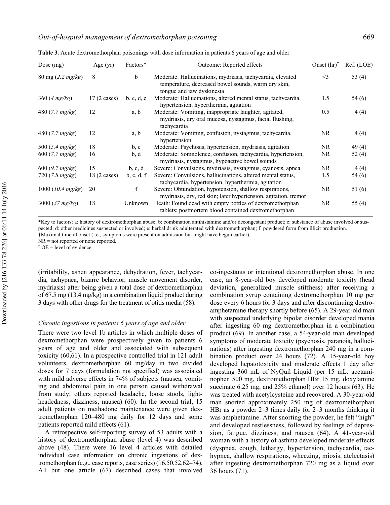| Dose $(mg)$                         | Age $(yr)$            | Factors*   | Outcome: Reported effects                                                                                                                      | Onset $(hr)$ <sup>†</sup> | Ref. (LOE) |
|-------------------------------------|-----------------------|------------|------------------------------------------------------------------------------------------------------------------------------------------------|---------------------------|------------|
| $80 \text{ mg} (2.2 \text{ mg/kg})$ | 8                     | b.         | Moderate: Hallucinations, mydriasis, tachycardia, elevated<br>temperature, decreased bowel sounds, warm dry skin,<br>tongue and jaw dyskinesia | $\leq$ 3                  | 53 $(4)$   |
| 360 (4 mg/kg)                       | $17(2 \text{ cases})$ | b, c, d, e | Moderate: Hallucinations, altered mental status, tachycardia,<br>hypertension, hyperthermia, agitation                                         | 1.5                       | 54 (6)     |
| 480 $(7.7 \text{ mg/kg})$           | 12                    | a, b       | Moderate: Vomiting, inappropriate laughter, agitated,<br>mydriasis, dry oral mucosa, nystagmus, facial flushing,<br>tachycardia                | 0.5                       | 4(4)       |
| 480 $(7.7 \text{ mg/kg})$           | 12                    | a, b       | Moderate: Vomiting, confusion, nystagmus, tachycardia,<br>hypertension                                                                         | NR                        | 4(4)       |
| 500 $(5.4 \text{ mg/kg})$           | 18                    | b, c       | Moderate: Psychosis, hypertension, mydriasis, agitation                                                                                        | <b>NR</b>                 | 49 (4)     |
| $600(7.7 \text{ mg/kg})$            | 16                    | b, d       | Moderate: Somnolence, confusion, tachycardia, hypertension,<br>mydriasis, nystagmus, hypoactive bowel sounds                                   | NR.                       | 52(4)      |
| 600 $(9.7 \text{ mg/kg})$           | 15                    | b, c, d    | Severe: Convulsions, mydriasis, nystagmus, cyanosis, apnea                                                                                     | <b>NR</b>                 | 4(4)       |
| $720(7.8 \text{ mg/kg})$            | $18(2 \text{ cases})$ | b, c, d, f | Severe: Convulsions, hallucinations, altered mental status,<br>tachycardia, hypertension, hyperthermia, agitation                              | 1.5                       | 54 (6)     |
| 1000 (10.4 mg/kg)                   | 20                    | f          | Severe: Obtundation, hypotension, shallow respirations,<br>mydriasis, dry, red skin; later hypertension, agitation, tremor                     | NR                        | 51 (6)     |
| 3000 $(37 \text{ mg/kg})$           | 18                    | Unknown    | Death: Found dead with empty bottles of dextromethorphan<br>tablets; postmortem blood contained dextromethorphan                               | NR.                       | 55 $(4)$   |

**Table 3.** Acute dextromethorphan poisonings with dose information in patients 6 years of age and older

\*Key to factors: a: history of dextromethorphan abuse; b: combination antihistamine and/or decongestant product; c: substance of abuse involved or suspected; d: other medicines suspected or involved; e: herbal drink adulterated with dextromethorphan; f: powdered form from illicit production. †Maximal time of onset (i.e., symptoms were present on admission but might have begun earlier).

NR = not reported or none reported.

 $LOE = level of evidence.$ 

(irritability, ashen appearance, dehydration, fever, tachycardia, tachypnea, bizarre behavior, muscle movement disorder, mydriasis) after being given a total dose of dextromethorphan of 67.5 mg (13.4 mg/kg) in a combination liquid product during 3 days with other drugs for the treatment of otitis media (58).

#### *Chronic ingestions in patients 6 years of age and older*

There were two level 1b articles in which multiple doses of dextromethorphan were prospectively given to patients 6 years of age and older and associated with subsequent toxicity (60,61). In a prospective controlled trial in 121 adult volunteers, dextromethorphan 60 mg/day in two divided doses for 7 days (formulation not specified) was associated with mild adverse effects in 74% of subjects (nausea, vomiting and abdominal pain in one person caused withdrawal from study; others reported headache, loose stools, lightheadedness, dizziness, nausea) (60). In the second trial, 15 adult patients on methadone maintenance were given dextromethorphan 120–480 mg daily for 12 days and some patients reported mild effects (61).

A retrospective self-reporting survey of 53 adults with a history of dextromethorphan abuse (level 4) was described above (48). There were 16 level 4 articles with detailed individual case information on chronic ingestions of dextromethorphan (e.g., case reports, case series) (16,50,52,62–74). All but one article (67) described cases that involved

co-ingestants or intentional dextromethorphan abuse. In one case, an 8-year-old boy developed moderate toxicity (head deviation, generalized muscle stiffness) after receiving a combination syrup containing dextromethorphan 10 mg per dose every 6 hours for 3 days and after discontinuing dextroamphetamine therapy shortly before (65). A 29-year-old man with suspected underlying bipolar disorder developed mania after ingesting 60 mg dextromethorphan in a combination product (69). In another case, a 54-year-old man developed symptoms of moderate toxicity (psychosis, paranoia, hallucinations) after ingesting dextromethorphan 240 mg in a combination product over 24 hours (72). A 15-year-old boy developed hepatotoxicity and moderate effects 1 day after ingesting 360 mL of NyQuil Liquid (per 15 mL: acetaminophen 500 mg, dextromethorphan HBr 15 mg, doxylamine succinate 6.25 mg, and 25% ethanol) over 12 hours (63). He was treated with acetylcysteine and recovered. A 30-year-old man snorted approximately 250 mg of dextromethorphan HBr as a powder 2–3 times daily for 2–3 months thinking it was amphetamine. After snorting the powder, he felt "high" and developed restlessness, followed by feelings of depression, fatigue, dizziness, and nausea (64). A 41-year-old woman with a history of asthma developed moderate effects (dyspnea, cough, lethargy, hypertension, tachycardia, tachypnea, shallow respirations, wheezing, miosis, atelectasis) after ingesting dextromethorphan 720 mg as a liquid over 36 hours (71).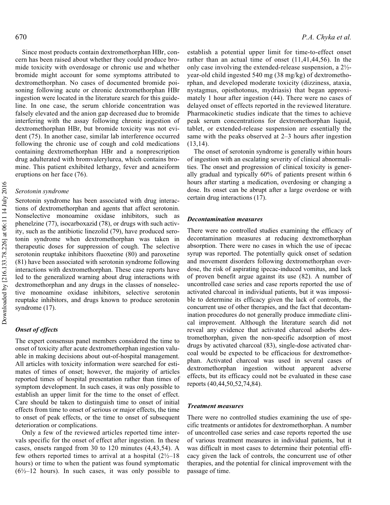Since most products contain dextromethorphan HBr, concern has been raised about whether they could produce bromide toxicity with overdosage or chronic use and whether bromide might account for some symptoms attributed to dextromethorphan. No cases of documented bromide poisoning following acute or chronic dextromethorphan HBr ingestion were located in the literature search for this guideline. In one case, the serum chloride concentration was falsely elevated and the anion gap decreased due to bromide interfering with the assay following chronic ingestion of dextromethorphan HBr, but bromide toxicity was not evident (75). In another case, similar lab interference occurred following the chronic use of cough and cold medications containing dextromethorphan HBr and a nonprescription drug adulterated with bromvalerylurea, which contains bromine. This patient exhibited lethargy, fever and acneiform eruptions on her face (76).

#### *Serotonin syndrome*

Serotonin syndrome has been associated with drug interactions of dextromethorphan and agents that affect serotonin. Nonselective monoamine oxidase inhibitors, such as phenelzine (77), isocarboxazid (78), or drugs with such activity, such as the antibiotic linezolid (79), have produced serotonin syndrome when dextromethorphan was taken in therapeutic doses for suppression of cough. The selective serotonin reuptake inhibitors fluoxetine (80) and paroxetine (81) have been associated with serotonin syndrome following interactions with dextromethorphan. These case reports have led to the generalized warning about drug interactions with dextromethorphan and any drugs in the classes of nonselective monoamine oxidase inhibitors, selective serotonin reuptake inhibitors, and drugs known to produce serotonin syndrome (17).

# *Onset of effects*

The expert consensus panel members considered the time to onset of toxicity after acute dextromethorphan ingestion valuable in making decisions about out-of-hospital management. All articles with toxicity information were searched for estimates of times of onset; however, the majority of articles reported times of hospital presentation rather than times of symptom development. In such cases, it was only possible to establish an upper limit for the time to the onset of effect. Care should be taken to distinguish time to onset of initial effects from time to onset of serious or major effects, the time to onset of peak effects, or the time to onset of subsequent deterioration or complications.

Only a few of the reviewed articles reported time intervals specific for the onset of effect after ingestion. In these cases, onsets ranged from 30 to 120 minutes (4,43,54). A few others reported times to arrival at a hospital  $(2\frac{1}{2} - 18)$ hours) or time to when the patient was found symptomatic  $(6\frac{1}{2} - 12)$  hours). In such cases, it was only possible to establish a potential upper limit for time-to-effect onset rather than an actual time of onset  $(11, 41, 44, 56)$ . In the only case involving the extended-release suspension, a 2½ year-old child ingested 540 mg (38 mg/kg) of dextromethorphan, and developed moderate toxicity (dizziness, ataxia, nystagmus, opisthotonus, mydriasis) that began approximately 1 hour after ingestion (44). There were no cases of delayed onset of effects reported in the reviewed literature. Pharmacokinetic studies indicate that the times to achieve peak serum concentrations for dextromethorphan liquid, tablet, or extended-release suspension are essentially the same with the peaks observed at 2–3 hours after ingestion (13,14).

The onset of serotonin syndrome is generally within hours of ingestion with an escalating severity of clinical abnormalities. The onset and progression of clinical toxicity is generally gradual and typically 60% of patients present within 6 hours after starting a medication, overdosing or changing a dose. Its onset can be abrupt after a large overdose or with certain drug interactions (17).

#### *Decontamination measures*

There were no controlled studies examining the efficacy of decontamination measures at reducing dextromethorphan absorption. There were no cases in which the use of ipecac syrup was reported. The potentially quick onset of sedation and movement disorders following dextromethorphan overdose, the risk of aspirating ipecac-induced vomitus, and lack of proven benefit argue against its use (82). A number of uncontrolled case series and case reports reported the use of activated charcoal in individual patients, but it was impossible to determine its efficacy given the lack of controls, the concurrent use of other therapies, and the fact that decontamination procedures do not generally produce immediate clinical improvement. Although the literature search did not reveal any evidence that activated charcoal adsorbs dextromethorphan, given the non-specific adsorption of most drugs by activated charcoal (83), single-dose activated charcoal would be expected to be efficacious for dextromethorphan. Activated charcoal was used in several cases of dextromethorphan ingestion without apparent adverse effects, but its efficacy could not be evaluated in these case reports (40,44,50,52,74,84).

#### *Treatment measures*

There were no controlled studies examining the use of specific treatments or antidotes for dextromethorphan. A number of uncontrolled case series and case reports reported the use of various treatment measures in individual patients, but it was difficult in most cases to determine their potential efficacy given the lack of controls, the concurrent use of other therapies, and the potential for clinical improvement with the passage of time.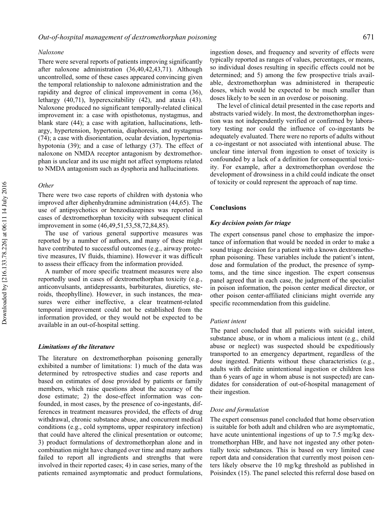#### *Naloxone*

There were several reports of patients improving significantly after naloxone administration (36,40,42,43,71). Although uncontrolled, some of these cases appeared convincing given the temporal relationship to naloxone administration and the rapidity and degree of clinical improvement in coma (36), lethargy (40,71), hyperexcitability (42), and ataxia (43). Naloxone produced no significant temporally-related clinical improvement in: a case with opisthotonus, nystagmus, and blank stare (44); a case with agitation, hallucinations, lethargy, hypertension, hypertonia, diaphoresis, and nystagmus (74); a case with disorientation, ocular deviation, hypertoniahypotonia (39); and a case of lethargy (37). The effect of naloxone on NMDA receptor antagonism by dextromethorphan is unclear and its use might not affect symptoms related to NMDA antagonism such as dysphoria and hallucinations.

# *Other*

There were two case reports of children with dystonia who improved after diphenhydramine administration (44,65). The use of antipsychotics or benzodiazepines was reported in cases of dextromethorphan toxicity with subsequent clinical improvement in some (46,49,51,53,58,72,84,85).

The use of various general supportive measures was reported by a number of authors, and many of these might have contributed to successful outcomes (e.g., airway protective measures, IV fluids, thiamine). However it was difficult to assess their efficacy from the information provided.

A number of more specific treatment measures were also reportedly used in cases of dextromethorphan toxicity (e.g., anticonvulsants, antidepressants, barbiturates, diuretics, steroids, theophylline). However, in such instances, the measures were either ineffective, a clear treatment-related temporal improvement could not be established from the information provided, or they would not be expected to be available in an out-of-hospital setting.

# *Limitations of the literature*

The literature on dextromethorphan poisoning generally exhibited a number of limitations: 1) much of the data was determined by retrospective studies and case reports and based on estimates of dose provided by patients or family members, which raise questions about the accuracy of the dose estimate; 2) the dose-effect information was confounded, in most cases, by the presence of co-ingestants, differences in treatment measures provided, the effects of drug withdrawal, chronic substance abuse, and concurrent medical conditions (e.g., cold symptoms, upper respiratory infection) that could have altered the clinical presentation or outcome; 3) product formulations of dextromethorphan alone and in combination might have changed over time and many authors failed to report all ingredients and strengths that were involved in their reported cases; 4) in case series, many of the patients remained asymptomatic and product formulations,

ingestion doses, and frequency and severity of effects were typically reported as ranges of values, percentages, or means, so individual doses resulting in specific effects could not be determined; and 5) among the few prospective trials available, dextromethorphan was administered in therapeutic doses, which would be expected to be much smaller than doses likely to be seen in an overdose or poisoning.

The level of clinical detail presented in the case reports and abstracts varied widely. In most, the dextromethorphan ingestion was not independently verified or confirmed by laboratory testing nor could the influence of co-ingestants be adequately evaluated. There were no reports of adults without a co-ingestant or not associated with intentional abuse. The unclear time interval from ingestion to onset of toxicity is confounded by a lack of a definition for consequential toxicity. For example, after a dextromethorphan overdose the development of drowsiness in a child could indicate the onset of toxicity or could represent the approach of nap time.

# **Conclusions**

#### *Key decision points for triage*

The expert consensus panel chose to emphasize the importance of information that would be needed in order to make a sound triage decision for a patient with a known dextromethorphan poisoning. These variables include the patient's intent, dose and formulation of the product, the presence of symptoms, and the time since ingestion. The expert consensus panel agreed that in each case, the judgment of the specialist in poison information, the poison center medical director, or other poison center-affiliated clinicians might override any specific recommendation from this guideline.

#### *Patient intent*

The panel concluded that all patients with suicidal intent, substance abuse, or in whom a malicious intent (e.g., child abuse or neglect) was suspected should be expeditiously transported to an emergency department, regardless of the dose ingested. Patients without these characteristics (e.g., adults with definite unintentional ingestion or children less than 6 years of age in whom abuse is not suspected) are candidates for consideration of out-of-hospital management of their ingestion.

#### *Dose and formulation*

The expert consensus panel concluded that home observation is suitable for both adult and children who are asymptomatic, have acute unintentional ingestions of up to 7.5 mg/kg dextromethorphan HBr, and have not ingested any other potentially toxic substances. This is based on very limited case report data and consideration that currently most poison centers likely observe the 10 mg/kg threshold as published in Poisindex (15). The panel selected this referral dose based on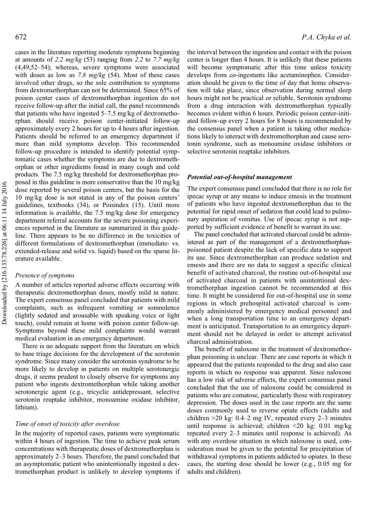cases in the literature reporting moderate symptoms beginning at amounts of *2.2 mg/kg* (53) ranging from *2.2* to *7.7 mg/kg* (4,49,52–54); whereas, severe symptoms were associated with doses as low as *7.8 mg/kg* (54). Most of these cases involved other drugs, so the sole contribution to symptoms from dextromethorphan can not be determined. Since 65% of poison center cases of dextromethorphan ingestion do not receive follow-up after the initial call, the panel recommends that patients who have ingested 5–7.5 mg/kg of dextromethorphan should receive poison center-initiated follow-up approximately every 2 hours for up to 4 hours after ingestion. Patients should be referred to an emergency department if more than mild symptoms develop. This recommended follow-up procedure is intended to identify potential symptomatic cases whether the symptoms are due to dextromethorphan or other ingredients found in many cough and cold products. The 7.5 mg/kg threshold for dextromethorphan proposed in this guideline is more conservative than the 10 mg/kg dose reported by several poison centers, but the basis for the 10 mg/kg dose is not stated in any of the poison centers' guidelines, textbooks (34), or Poisindex (15). Until more information is available, the 7.5 mg/kg dose for emergency department referral accounts for the severe poisoning experiences reported in the literature as summarized in this guideline. There appears to be no difference in the toxicities of different formulations of dextromethorphan (immediate- vs. extended-release and solid vs. liquid) based on the sparse literature available.

#### *Presence of symptoms*

A number of articles reported adverse effects occurring with therapeutic dextromethorphan doses, mostly mild in nature. The expert consensus panel concluded that patients with mild complaints, such as infrequent vomiting or somnolence (lightly sedated and arousable with speaking voice or light touch), could remain at home with poison center follow-up. Symptoms beyond these mild complaints would warrant medical evaluation in an emergency department.

There is no adequate support from the literature on which to base triage decisions for the development of the serotonin syndrome. Since many consider the serotonin syndrome to be more likely to develop in patients on multiple serotonergic drugs, it seems prudent to closely observe for symptoms any patient who ingests dextromethorphan while taking another serotonergic agent (e.g., tricyclic antidepressant, selective serotonin reuptake inhibitor, monoamine oxidase inhibitor, lithium).

#### *Time of onset of toxicity after overdose*

In the majority of reported cases, patients were symptomatic within 4 hours of ingestion. The time to achieve peak serum concentrations with therapeutic doses of dextromethorphan is approximately 2–3 hours. Therefore, the panel concluded that an asymptomatic patient who unintentionally ingested a dextromethorphan product is unlikely to develop symptoms if the interval between the ingestion and contact with the poison center is longer than 4 hours. It is unlikely that these patients will become symptomatic after this time unless toxicity develops from co-ingestants like acetaminophen. Consideration should be given to the time of day that home observation will take place, since observation during normal sleep hours might not be practical or reliable. Serotonin syndrome from a drug interaction with dextromethorphan typically becomes evident within 6 hours. Periodic poison center-initiated follow-up every 2 hours for 8 hours is recommended by the consensus panel when a patient is taking other medications likely to interact with dextromethorphan and cause serotonin syndrome, such as monoamine oxidase inhibitors or selective serotonin reuptake inhibitors.

#### *Potential out-of-hospital management*

The expert consensus panel concluded that there is no role for ipecac syrup or any means to induce emesis in the treatment of patients who have ingested dextromethorphan due to the potential for rapid onset of sedation that could lead to pulmonary aspiration of vomitus. Use of ipecac syrup is not supported by sufficient evidence of benefit to warrant its use.

The panel concluded that activated charcoal could be administered as part of the management of a dextromethorphanpoisoned patient despite the lack of specific data to support its use. Since dextromethorphan can produce sedation and emesis and there are no data to suggest a specific clinical benefit of activated charcoal, the routine out-of-hospital use of activated charcoal in patients with unintentional dextromethorphan ingestion cannot be recommended at this time. It might be considered for out-of-hospital use in some regions in which prehospital activated charcoal is commonly administered by emergency medical personnel and when a long transportation time to an emergency department is anticipated. Transportation to an emergency department should not be delayed in order to attempt activated charcoal administration.

The benefit of naloxone in the treatment of dextromethorphan poisoning is unclear. There are case reports in which it appeared that the patients responded to the drug and also case reports in which no response was apparent. Since naloxone has a low risk of adverse effects, the expert consensus panel concluded that the use of naloxone could be considered in patients who are comatose, particularly those with respiratory depression. The doses used in the case reports are the same doses commonly used to reverse opiate effects (adults and children >20 kg: 0.4–2 mg IV, repeated every 2–3 minutes until response is achieved; children <20 kg: 0.01 mg/kg repeated every 2–3 minutes until response is achieved). As with any overdose situation in which naloxone is used, consideration must be given to the potential for precipitation of withdrawal symptoms in patients addicted to opiates. In these cases, the starting dose should be lower (e.g., 0.05 mg for adults and children).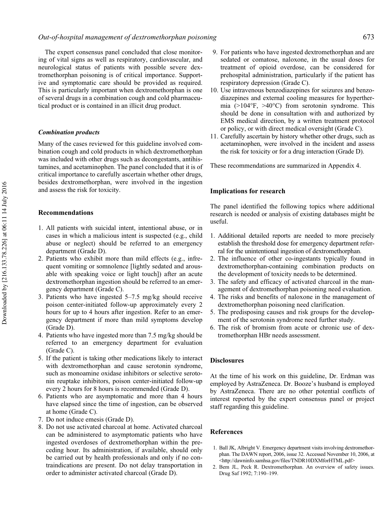The expert consensus panel concluded that close monitoring of vital signs as well as respiratory, cardiovascular, and neurological status of patients with possible severe dextromethorphan poisoning is of critical importance. Supportive and symptomatic care should be provided as required. This is particularly important when dextromethorphan is one of several drugs in a combination cough and cold pharmaceutical product or is contained in an illicit drug product.

#### *Combination products*

Many of the cases reviewed for this guideline involved combination cough and cold products in which dextromethorphan was included with other drugs such as decongestants, antihistamines, and acetaminophen. The panel concluded that it is of critical importance to carefully ascertain whether other drugs, besides dextromethorphan, were involved in the ingestion and assess the risk for toxicity.

# **Recommendations**

- 1. All patients with suicidal intent, intentional abuse, or in cases in which a malicious intent is suspected (e.g., child abuse or neglect) should be referred to an emergency department (Grade D).
- 2. Patients who exhibit more than mild effects (e.g., infrequent vomiting or somnolence [lightly sedated and arousable with speaking voice or light touch]) after an acute dextromethorphan ingestion should be referred to an emergency department (Grade C).
- 3. Patients who have ingested 5–7.5 mg/kg should receive poison center-initiated follow-up approximately every 2 hours for up to 4 hours after ingestion. Refer to an emergency department if more than mild symptoms develop (Grade D).
- 4. Patients who have ingested more than 7.5 mg/kg should be referred to an emergency department for evaluation (Grade C).
- 5. If the patient is taking other medications likely to interact with dextromethorphan and cause serotonin syndrome, such as monoamine oxidase inhibitors or selective serotonin reuptake inhibitors, poison center-initiated follow-up every 2 hours for 8 hours is recommended (Grade D).
- 6. Patients who are asymptomatic and more than 4 hours have elapsed since the time of ingestion, can be observed at home (Grade C).
- 7. Do not induce emesis (Grade D).
- 8. Do not use activated charcoal at home. Activated charcoal can be administered to asymptomatic patients who have ingested overdoses of dextromethorphan within the preceding hour. Its administration, if available, should only be carried out by health professionals and only if no contraindications are present. Do not delay transportation in order to administer activated charcoal (Grade D).
- 9. For patients who have ingested dextromethorphan and are sedated or comatose, naloxone, in the usual doses for treatment of opioid overdose, can be considered for prehospital administration, particularly if the patient has respiratory depression (Grade C).
- 10. Use intravenous benzodiazepines for seizures and benzodiazepines and external cooling measures for hyperthermia (>104°F, >40°C) from serotonin syndrome. This should be done in consultation with and authorized by EMS medical direction, by a written treatment protocol or policy, or with direct medical oversight (Grade C).
- 11. Carefully ascertain by history whether other drugs, such as acetaminophen, were involved in the incident and assess the risk for toxicity or for a drug interaction (Grade D).

These recommendations are summarized in Appendix 4.

#### **Implications for research**

The panel identified the following topics where additional research is needed or analysis of existing databases might be useful.

- 1. Additional detailed reports are needed to more precisely establish the threshold dose for emergency department referral for the unintentional ingestion of dextromethorphan.
- 2. The influence of other co-ingestants typically found in dextromethorphan-containing combination products on the development of toxicity needs to be determined.
- 3. The safety and efficacy of activated charcoal in the management of dextromethorphan poisoning need evaluation.
- 4. The risks and benefits of naloxone in the management of dextromethorphan poisoning need clarification.
- 5. The predisposing causes and risk groups for the development of the serotonin syndrome need further study.
- 6. The risk of bromism from acute or chronic use of dextromethorphan HBr needs assessment.

# **Disclosures**

At the time of his work on this guideline, Dr. Erdman was employed by AstraZeneca. Dr. Booze's husband is employed by AstraZeneca. There are no other potential conflicts of interest reported by the expert consensus panel or project staff regarding this guideline.

#### **References**

- 1. Ball JK, Albright V. Emergency department visits involving dextromethorphan. The DAWN report, 2006, issue 32. Accessed November 10, 2006, at <http://dawninfo.samhsa.gov/files/TNDR10DXMforHTML.pdf>
- 2. Bem JL, Peck R. Dextromethorphan. An overview of safety issues. Drug Saf 1992; 7:190–199.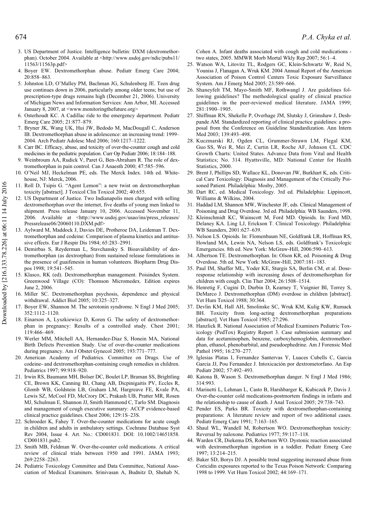- 3. US Department of Justice. Intelligence bulletin: DXM (dextromethorphan). October 2004. Available at <http://www.usdoj.gov/ndic/pubs11/ 11563/11563p.pdf>
- 4. Boyer EW. Dextromethorphan abuse. Pediatr Emerg Care 2004; 20:858–863.
- 5. Johnston LD, O'Malley PM, Bachman JG, Schulenberg JE. Teen drug use continues down in 2006, particularly among older teens; but use of prescription-type drugs remains high (December 21, 2006). University of Michigan News and Information Services: Ann Arbor, MI. Accessed January 8, 2007, at <www.monitoringthefuture.org>
- 6. Osterhoudt KC. A Cadillac ride to the emergency department. Pediatr Emerg Care 2005; 21:877–879.
- 7. Bryner JK, Wang UK, Hui JW, Bedodo M, MacDougall C, Anderson IB. Dextromethorphan abuse in adolescence: an increasing trend: 1999– 2004. Arch Pediatr Adolesc Med 2006; 160:1217–1222.
- 8. Carr BC. Efficacy, abuse, and toxicity of over-the-counter cough and cold medicines in the pediatric population. Curr Op Pediatr 2006; 18:184–188.
- 9. Weinbroum AA, Rudick V, Paret G, Ben-Abraham R. The role of dextromethorphan in pain control. Can J Anaesth 2000; 47:585–596.
- 10. O'Neil MJ, Heckelman PE, eds. The Merck Index. 14th ed. Whitehouse, NJ: Merck, 2006.
- 11. Roll D, Tsipis G. "Agent Lemon": a new twist on dextromethorphan toxicity [abstract]. J Toxicol Clin Toxicol 2002; 40:655.
- 12. US Department of Justice. Two Indianapolis men charged with selling dextromethorphan over the internet, five deaths of young men linked to shipment. Press release January 10, 2006. Accessed November 11, 2006. Available at <http://www.usdoj.gov/usao/ins/press\_releases/ Pressrelease06/20060110.DXM.pdf>
- 13. Aylward M, Maddock J, Davies DE, Protheroe DA, Leideman T. Dextromethorphan and codeine: Comparison of plasma kinetics and antitussive effects. Eur J Respir Dis 1984; 65:283–2991.
- 14. Demirbas S, Reyderman L, Stavchansky S. Bioavailability of dextromethorphan (as dextrorphan) from sustained release formulations in the presence of guaifenesin in human volunteers. Biopharm Drug Dispos 1998; 19:541–545.
- 15. Klasco, RK (ed). Dextromethorphan management. Poisindex System. Greenwood Village (CO): Thomson Micromedex. Edition expires June 2, 2006.
- 16. Miller SC. Dextromethorphan psychosis, dependence and physical withdrawal. Addict Biol 2005; 10:325–327.
- 17. Boyer EW, Shannon M. The serotonin syndrome. N Engl J Med 2005; 352:1112–1120.
- 18. Einarson A, Lyszkiewicz D, Koren G. The safety of dextromethorphan in pregnancy: Results of a controlled study. Chest 2001; 119:466–469.
- 19. Werler MM, Mitchell AA, Hernandez-Diaz S, Honein MA, National Birth Defects Prevention Study. Use of over-the-counter medications during pregnancy. Am J Obstet Gynecol 2005; 193:771–777.
- 20. American Academy of Pediatrics. Committee on Drugs. Use of codeine- and dextromethorphan-containing cough remedies in children. Pediatrics 1997; 99:918–920.
- 21. Irwin RS, Baumann MH, Bolser DC, Boulet LP, Braman SS, Brightling CE, Brown KK, Canning BJ, Chang AB, Dicpinigaitis PV, Eccles R, Glomb WB, Goldstein LB, Graham LM, Hargreave FE, Kvale PA, Lewis SZ, McCool FD, McCrory DC, Prakash UB, Pratter MR, Rosen MJ, Schulman E, Shannon JJ, Smith Hammond C, Tarlo SM. Diagnosis and management of cough executive summary: ACCP evidence-based clinical practice guidelines. Chest 2006; 129:1S–23S.
- 22. Schroeder K, Fahey T. Over-the-counter medications for acute cough in children and adults in ambulatory settings. Cochrane Database Syst Rev 2004, Issue 4. Art. No.: CD001831. DOI: 10.1002/14651858. CD001831.pub2.
- 23. Smith MB, Feldman W. Over-the-counter cold medications. A critical review of clinical trials between 1950 and 1991. JAMA 1993; 269:2258–2263.
- 24. Pediatric Toxicology Committee and Data Committee, National Association of Medical Examiners. Srinivasan A, Budnitz D, Shehab N,

Cohen A. Infant deaths associated with cough and cold medications two states, 2005. MMWR Morb Mortal Wkly Rep 2007; 56:1–4.

- 25. Watson WA, Litovitz TL, Rodgers GC, Klein-Schwartz W, Reid N, Youniss J, Flanagan A, Wruk KM. 2004 Annual Report of the American Association of Poison Control Centers Toxic Exposure Surveillance System. Am J Emerg Med 2005; 23:589–666.
- 26. Shaneyfelt TM, Mayo-Smith MF, Rothwangl J. Are guidelines following guidelines? The methodological quality of clinical practice guidelines in the peer-reviewed medical literature. JAMA 1999; 281:1900–1905.
- 27. Shiffman RN, Shekelle P, Overhage JM, Slutsky J, Grimshaw J, Deshpande AM. Standardized reporting of clinical practice guidelines: a proposal from the Conference on Guideline Standardization. Ann Intern Med 2003; 139:493–498.
- 28. Kuczmarski RJ, Ogden CL, Grummer-Strawn LM, Flegal KM, Guo SS, Wei R, Mei Z, Curtin LR, Roche AF, Johnson CL. CDC Growth Charts: United States. Advance Data from Vital and Health Statistics; No. 314. Hyattsville, MD: National Center for Health Statistics, 2000.
- 29. Brent J, Phillips SD, Wallace KL, Donovan JW, Burkhart K, eds. Critical Care Toxicology: Diagnosis and Management of the Critically Poisoned Patient. Philadelphia: Mosby, 2005.
- 30. Dart RC, ed. Medical Toxicology. 3rd ed. Philadelphia: Lippincott, Williams & Wilkins, 2004.
- 31. Haddad LM, Shannon MW, Winchester JF, eds. Clinical Management of Poisoning and Drug Overdose. 3rd ed. Philadelphia: WB Saunders, 1998.
- 32. Kleinschmidt KC, Wainscott M, Ford MD. Opioids. In: Ford MD, Delaney KA. Ling LJ, Erickson T. Clinical Toxicology. Philadelphia: WB Saunders, 2001:627–639.
- 33. Nelson LS. Opioids. In: Flomenbaum NE, Goldfrank LR, Hoffman RS, Howland MA, Lewin NA, Nelson LS, eds. Goldfrank's Toxicologic Emergencies. 8th ed. New York: McGraw-Hill, 2006:590–613.
- 34. Albertson TE. Dextromethorphan. In: Olson KR, ed. Poisoning & Drug Overdose. 5th ed. New York: McGraw-Hill, 2007:181–183.
- 35. Paul IM, Shaffer ML, Yoder KE, Sturgis SA, Berlin CM, et al. Doseresponse relationship with increasing doses of dextromethorphan for children with cough. Clin Ther 2004; 26:1508–1514.
- 36. Henretig F, Cugini D, Durbin D, Kearney T, Vuignier BI, Torrey S, DeMarco J. Dextromethorphan (DM) overdose in children [abstract]. Vet Hum Toxicol 1988; 30:364.
- 37. Devlin KM, Hall AH, Smolinske SC, Wruk KM, Kulig KW, Rumack BH. Toxicity from long-acting dextromethorphan preparations [abstract]. Vet Hum Toxicol 1985; 27:296.
- 38. Hanzlick R. National Association of Medical Examiners Pediatric Toxicology (PedTox) Registry Report 3. Case submission summary and data for acetaminophen, benzene, carboxyhemoglobin, dextromethorphan, ethanol, phenobarbital, and pseudoephedrine. Am J Forensic Med Pathol 1995; 16:270–277.
- 39. Iglesias Platas I, Fernandez Santervas Y, Luaces Cubells C, Garcia Garcia JJ, Pou Fernandez J. Intoxicación por dextrometorfano. An Esp Pediatr 2002; 57:492–493.
- 40. Katona B, Wason S. Dextromethorphan danger. N Engl J Med 1986; 314:993.
- 41. Marinetti L, Lehman L, Casto B, Harshbarger K, Kubiczek P, Davis J. Over-the-counter cold medications-postmortem findings in infants and the relationship to cause of death. J Anal Toxicol 2005; 29:738–743.
- 42. Pender ES, Parks BR. Toxicity with dextromethorphan-containing preparations: A literature review and report of two additional cases. Pediatr Emerg Care 1991; 7:163–165.
- 43. Shaul WL, Wandell M, Robertson WO. Dextromethorphan toxicity: Reversal by naloxone. Pediatrics 1977; 59:117–118.
- 44. Warden CR, Diekema DS, Robertson WO. Dystonic reaction associated with dextromethorphan ingestion in a toddler. Pediatr Emerg Care 1997; 13:214–215.
- 45. Baker SD, Borys DJ. A possible trend suggesting increased abuse from Coricidin exposures reported to the Texas Poison Network: Comparing 1998 to 1999. Vet Hum Toxicol 2002; 44:169–171.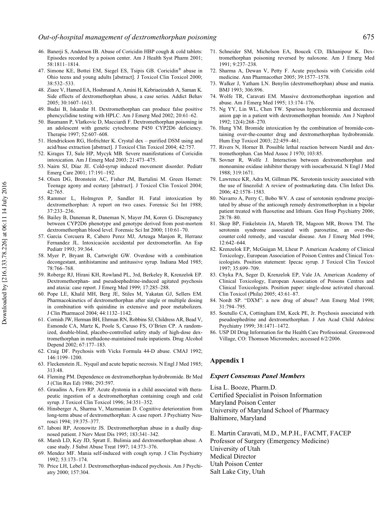- 46. Banerji S, Anderson IB. Abuse of Coricidin HBP cough & cold tablets: Episodes recorded by a poison center. Am J Health Syst Pharm 2001; 58:1811–1814.
- 47. Simone KE, Bottei EM, Siegel ES, Tsipis GB. Coricidin® abuse in Ohio teens and young adults [abstract]. J Toxicol Clin Toxicol 2000; 38:532–533.
- 48. Ziaee V, Hamed EA, Hoshmand A, Amini H, Kebriaeizadeh A, Saman K. Side effects of dextromethorphan abuse, a case series. Addict Behav 2005; 30:1607–1613.
- 49. Budai B, Iskandar H. Dextromethorphan can produce false positive phencyclidine testing with HPLC. Am J Emerg Med 2002; 20:61–62.
- 50. Baumann P, Vlatkovic D, Macciardi F. Dextromethorphan poisoning in an adolescent with genetic cytochrome P450 CYP2D6 deficiency. Therapie 1997; 52:607–608.
- 51. Hendrickson RG, Hofrichter K. Crystal dex purified DSM using and acid/base extraction [abstract]. J Toxicol Clin Toxicol 2004; 42:757.
- 52. Kirages TJ, Sule HP, Mycyk MB. Severe manifestations of Coricidin intoxication. Am J Emerg Med 2003; 21:473–475.
- 53. Nairn SJ, Díaz JE. Cold-syrup induced movement disorder. Pediatr Emerg Care 2001; 17:191–192.
- 54. Olsen DG, Bronstein AC, Fisher JM, Bartalini M. Green Hornet: Teenage agony and ecstasy [abstract]. J Toxicol Clin Toxicol 2004; 42:765.
- 55. Rammer L, Holmgren P, Sandler H. Fatal intoxication by dextromethorphan: A report on two cases. Forensic Sci Int 1988; 37:233–236.
- 56. Bailey B, Daneman R, Daneman N, Mayer JM, Koren G. Discrepancy between CYP2D6 phenotype and genotype derived from post-mortem dextromethorphan blood level. Forensic Sci Int 2000; 110:61–70.
- 57. Garcia Corcuera R, Cabero Perez MJ, Arteaga Manjon R, Herranz Fernandez JL. Intoxicación accidental por dextrometorfán. An Esp Pediatr 1993; 39:364.
- 58. Myer P, Bryant B, Cartwright GW. Overdose with a combination decongestant, antihistamine and antitussive syrup. Indiana Med 1985; 78:766–768.
- 59. Roberge RJ, Hirani KH, Rowland PL, 3rd, Berkeley R, Krenzelok EP. Dextromethorphan- and pseudoephedrine-induced agitated psychosis and ataxia: case report. J Emerg Med 1999; 17:285–288.
- 60. Pope LE, Khalil MH, Berg JE, Stiles M, Yakatan GJ, Sellers EM. Pharmacokinetics of dextromethorphan after single or multiple dosing in combination with quinidine in extensive and poor metabolizers. J Clin Pharmacol 2004; 44:1132–1142.
- 61. Cornish JW, Herman BH, Ehrman RN, Robbins SJ, Childress AR, Bead V, Esmonde CA, Martz K, Poole S, Caruso FS, O'Brien CP. A randomized, double-blind, placebo-controlled safety study of high-dose dextromethorphan in methadone-maintained male inpatients. Drug Alcohol Depend 2002; 67:177–183.
- 62. Craig DF. Psychosis with Vicks Formula 44-D abuse. CMAJ 1992; 146:1199–1200.
- 63. Fleckenstein JL. Nyquil and acute hepatic necrosis. N Engl J Med 1985; 313:48.
- 64. Fleming PM. Dependence on dextromethorphan hydrobromide. Br Med J (Clin Res Ed) 1986; 293:597.
- 65. Graudins A, Fern RP. Acute dystonia in a child associated with therapeutic ingestion of a dextromethorphan containing cough and cold syrup. J Toxicol Clin Toxicol 1996; 34:351–352.
- 66. Hinsberger A, Sharma V, Mazmanian D. Cognitive deterioration from long-term abuse of dextromethorphan: A case report. J Psychiatry Neurosci 1994; 19:375–377.
- 67. Iaboni RP, Aronowitz JS. Dextromethorphan abuse in a dually diagnosed patient. J Nerv Ment Dis 1995; 183:341–342.
- Marsh LD, Key JD, Spratt E. Bulimia and dextromethorphan abuse. A case study. J Subst Abuse Treat 1997; 14:373–376.
- 69. Mendez MF. Mania self-induced with cough syrup. J Clin Psychiatry 1992; 53:173–174.
- 70. Price LH, Lebel J. Dextromethorphan-induced psychosis. Am J Psychiatry 2000; 157:304.
- 71. Schneider SM, Michelson EA, Boucek CD, Ilkhanipour K. Dextromethorphan poisoning reversed by naloxone. Am J Emerg Med 1991; 9:237–238.
- 72. Sharma A, Dewan V, Petty F. Acute psychosis with Coricidin cold medicine. Ann Pharmacother 2005; 39:1577–1578.
- 73. Walker J, Yatham LN. Benylin (dextromethorphan) abuse and mania. BMJ 1993; 306:896.
- 74. Wolfe TR, Caravati EM. Massive dextromethorphan ingestion and abuse. Am J Emerg Med 1995; 13:174–176.
- 75. Ng YY, Lin WL, Chen TW. Spurious hyperchloremia and decreased anion gap in a patient with dextromethorphan bromide. Am J Nephrol 1992; 12(4):268–270.
- 76. Hung YM. Bromide intoxication by the combination of bromide-containing over-the-counter drug and dextromethorphan hydrobromide. Hum Exp Toxicol 2003; 22:459–461.
- 77. Rivers N, Horner B. Possible lethal reaction between Nardil and dextromethorphan. Can Med Assoc J 1970; 103:85.
- 78. Sovner R, Wolfe J. Interaction between dextromethorphan and monoamine oxidase inhibitor therapy with isocarboxazid. N Engl J Med 1988; 319:1671.
- 79. Lawrence KR, Adra M, Gillman PK. Serotonin toxicity associated with the use of linezolid: A review of postmarketing data. Clin Infect Dis. 2006; 42:1578–1583.
- 80. Navarro A, Perry C, Bobo WV. A case of serotonin syndrome precipitated by abuse of the anticough remedy dextromethorphan in a bipolar patient treated with fluoxetine and lithium. Gen Hosp Psychiatry 2006; 28:78–80.
- 81. Skop BP, Finkelstein JA, Mareth TR, Magoon MR, Brown TM. The serotonin syndrome associated with paroxetine, an over-thecounter cold remedy, and vascular disease. Am J Emerg Med 1994; 12:642–644.
- 82. Krenzelok EP, McGuigan M, Lheur P. American Academy of Clinical Toxicology, European Association of Poison Centres and Clinical Toxicologists. Position statement: Ipecac syrup. J Toxicol Clin Toxicol 1997; 35:699–709.
- 83. Chyka PA, Seger D, Krenzelok EP, Vale JA. American Academy of Clinical Toxicology, European Association of Poisons Centres and Clinical Toxicologists. Position paper: single-dose activated charcoal. Clin Toxicol (Phila) 2005; 43:61–87.
- 84. Nordt SP. "DXM": a new drug of abuse? Ann Emerg Med 1998; 31:794–795.
- 85. Soutullo CA, Cottingham EM, Keck PE, Jr. Psychosis associated with pseudoephedrine and dextromethorphan. J Am Acad Child Adolesc Psychiatry 1999; 38:1471–1472.
- 86. USP DI Drug Information for the Health Care Professional. Greenwood Village, CO: Thomson Micromedex; accessed 6/2/2006.

# **Appendix 1**

#### *Expert Consensus Panel Members*

Lisa L. Booze, Pharm.D. Certified Specialist in Poison Information Maryland Poison Center University of Maryland School of Pharmacy Baltimore, Maryland

E. Martin Caravati, M.D., M.P.H., FACMT, FACEP Professor of Surgery (Emergency Medicine) University of Utah Medical Director Utah Poison Center Salt Lake City, Utah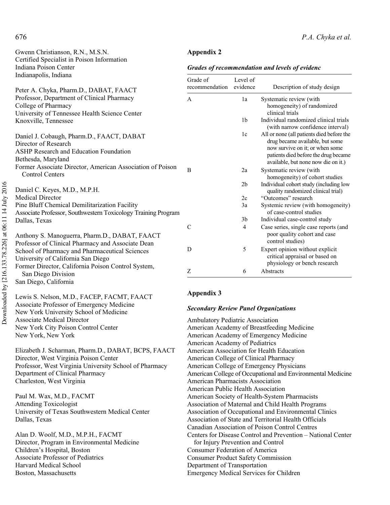Gwenn Christianson, R.N., M.S.N. Certified Specialist in Poison Information Indiana Poison Center Indianapolis, Indiana

San Diego Division San Diego, California

# **Appendix 2**

# *Grades of recommendation and levels of evidenc*

| mulanapons, mulana<br>Peter A. Chyka, Pharm.D., DABAT, FAACT                                                                               | Grade of<br>recommendation | Level of<br>evidence | Description of study design                                                                                     |
|--------------------------------------------------------------------------------------------------------------------------------------------|----------------------------|----------------------|-----------------------------------------------------------------------------------------------------------------|
| Professor, Department of Clinical Pharmacy                                                                                                 | $\overline{A}$             | 1a                   | Systematic review (with                                                                                         |
| College of Pharmacy<br>University of Tennessee Health Science Center                                                                       |                            |                      | homogeneity) of randomized<br>clinical trials                                                                   |
| Knoxville, Tennessee                                                                                                                       |                            | 1 <sub>b</sub>       | Individual randomized clinical trials<br>(with narrow confidence interval)                                      |
| Daniel J. Cobaugh, Pharm.D., FAACT, DABAT<br>Director of Research                                                                          |                            | 1c                   | All or none (all patients died before the<br>drug became available, but some<br>now survive on it; or when some |
| <b>ASHP Research and Education Foundation</b><br>Bethesda, Maryland                                                                        |                            |                      | patients died before the drug became<br>available, but none now die on it.)                                     |
| Former Associate Director, American Association of Poison<br>Control Centers                                                               | $\mathbf{B}$               | 2a                   | Systematic review (with<br>homogeneity) of cohort studies                                                       |
| Daniel C. Keyes, M.D., M.P.H.                                                                                                              |                            | 2 <sub>b</sub>       | Individual cohort study (including low<br>quality randomized clinical trial)                                    |
| <b>Medical Director</b>                                                                                                                    |                            | 2c                   | "Outcomes" research                                                                                             |
| Pine Bluff Chemical Demilitarization Facility<br>Associate Professor, Southwestern Toxicology Training Program                             |                            | 3a                   | Systemic review (with homogeneity)<br>of case-control studies                                                   |
| Dallas, Texas                                                                                                                              |                            | 3 <sub>b</sub>       | Individual case-control study                                                                                   |
| Anthony S. Manoguerra, Pharm.D., DABAT, FAACT                                                                                              | $\mathcal{C}$              | $\overline{4}$       | Case series, single case reports (and<br>poor quality cohort and case                                           |
| Professor of Clinical Pharmacy and Associate Dean                                                                                          |                            |                      | control studies)                                                                                                |
| School of Pharmacy and Pharmaceutical Sciences<br>University of California San Diego<br>Former Director, California Poison Control System, | D                          | 5                    | Expert opinion without explicit<br>critical appraisal or based on<br>physiology or bench research               |
| San Diego Division                                                                                                                         | Ζ                          | 6                    | Abstracts                                                                                                       |

Lewis S. Nelson, M.D., FACEP, FACMT, FAACT Associate Professor of Emergency Medicine New York University School of Medicine Associate Medical Director New York City Poison Control Center New York, New York

Elizabeth J. Scharman, Pharm.D., DABAT, BCPS, FAACT Director, West Virginia Poison Center Professor, West Virginia University School of Pharmacy Department of Clinical Pharmacy Charleston, West Virginia

Paul M. Wax, M.D., FACMT Attending Toxicologist University of Texas Southwestern Medical Center Dallas, Texas

Alan D. Woolf, M.D., M.P.H., FACMT Director, Program in Environmental Medicine Children's Hospital, Boston Associate Professor of Pediatrics Harvard Medical School Boston, Massachusetts

# **Appendix 3**

# *Secondary Review Panel Organizations*

Ambulatory Pediatric Association American Academy of Breastfeeding Medicine American Academy of Emergency Medicine American Academy of Pediatrics American Association for Health Education American College of Clinical Pharmacy American College of Emergency Physicians American College of Occupational and Environmental Medicine American Pharmacists Association American Public Health Association American Society of Health-System Pharmacists Association of Maternal and Child Health Programs Association of Occupational and Environmental Clinics Association of State and Territorial Health Officials Canadian Association of Poison Control Centres Centers for Disease Control and Prevention – National Center for Injury Prevention and Control Consumer Federation of America Consumer Product Safety Commission Department of Transportation Emergency Medical Services for Children